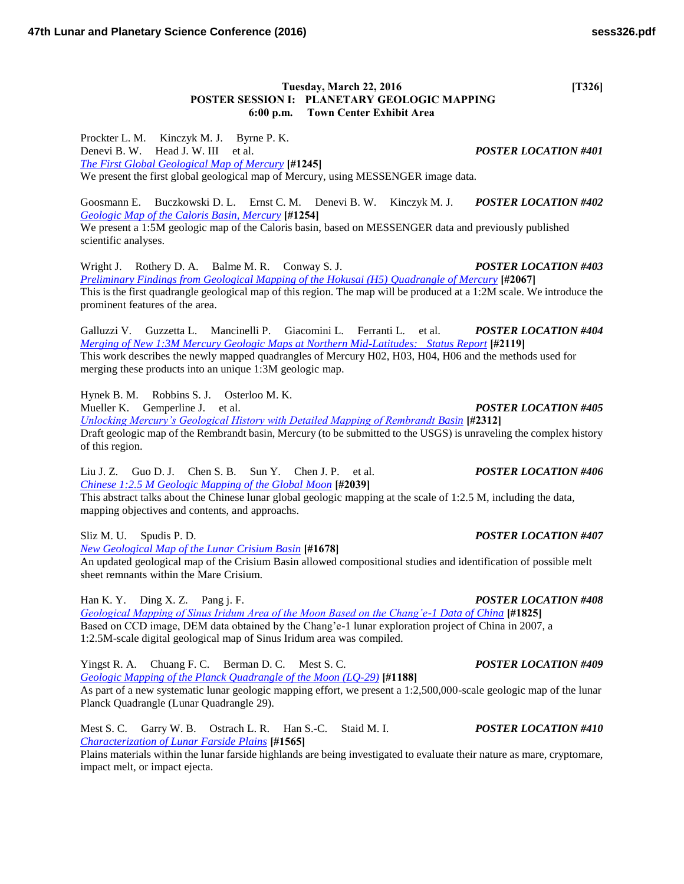### **Tuesday, March 22, 2016** [T326] **POSTER SESSION I: PLANETARY GEOLOGIC MAPPING 6:00 p.m. Town Center Exhibit Area**

Prockter L. M. Kinczyk M. J. Byrne P. K. Denevi B. W. Head J. W. III et al. *POSTER LOCATION #401 [The First Global Geological Map of Mercury](http://www.hou.usra.edu/meetings/lpsc2016/pdf/1245.pdf)* **[#1245]** We present the first global geological map of Mercury, using MESSENGER image data.

Goosmann E. Buczkowski D. L. Ernst C. M. Denevi B. W. Kinczyk M. J. *POSTER LOCATION #402 [Geologic Map of the Caloris Basin, Mercury](http://www.hou.usra.edu/meetings/lpsc2016/pdf/1254.pdf)* **[#1254]** We present a 1:5M geologic map of the Caloris basin, based on MESSENGER data and previously published

scientific analyses.

Wright J. Rothery D. A. Balme M. R. Conway S. J. *POSTER LOCATION #403 [Preliminary Findings from Geological Mapping of the Hokusai \(H5\) Quadrangle of Mercury](http://www.hou.usra.edu/meetings/lpsc2016/pdf/2067.pdf)* **[#2067]** This is the first quadrangle geological map of this region. The map will be produced at a 1:2M scale. We introduce the prominent features of the area.

Galluzzi V. Guzzetta L. Mancinelli P. Giacomini L. Ferranti L. et al. *POSTER LOCATION #404 [Merging of New 1:3M Mercury Geologic Maps at Northern Mid-Latitudes: Status Report](http://www.hou.usra.edu/meetings/lpsc2016/pdf/2119.pdf)* **[#2119]** This work describes the newly mapped quadrangles of Mercury H02, H03, H04, H06 and the methods used for merging these products into an unique 1:3M geologic map.

Hynek B. M. Robbins S. J. Osterloo M. K.

Mueller K. Gemperline J. et al. *POSTER LOCATION #405*

*[Unlocking Mercury's Geological History with Detailed Mapping of Rembrandt Basin](http://www.hou.usra.edu/meetings/lpsc2016/pdf/2312.pdf)* **[#2312]** Draft geologic map of the Rembrandt basin, Mercury (to be submitted to the USGS) is unraveling the complex history of this region.

Liu J. Z. Guo D. J. Chen S. B. Sun Y. Chen J. P. et al. *POSTER LOCATION #406 [Chinese 1:2.5 M Geologic Mapping of the Global Moon](http://www.hou.usra.edu/meetings/lpsc2016/pdf/2039.pdf)* **[#2039]**

This abstract talks about the Chinese lunar global geologic mapping at the scale of 1:2.5 M, including the data, mapping objectives and contents, and approachs.

*[New Geological Map of the Lunar Crisium Basin](http://www.hou.usra.edu/meetings/lpsc2016/pdf/1678.pdf)* **[#1678]** An updated geological map of the Crisium Basin allowed compositional studies and identification of possible melt sheet remnants within the Mare Crisium.

Han K. Y. Ding X. Z. Pang j. F. *POSTER LOCATION #408*

*[Geological Mapping of Sinus Iridum Area of the Moon Based on the Chang'e-1 Data of China](http://www.hou.usra.edu/meetings/lpsc2016/pdf/1825.pdf)* **[#1825]** Based on CCD image, DEM data obtained by the Chang'e-1 lunar exploration project of China in 2007, a 1:2.5M-scale digital geological map of Sinus Iridum area was compiled.

Yingst R. A. Chuang F. C. Berman D. C. Mest S. C. *POSTER LOCATION #409 [Geologic Mapping of the Planck Quadrangle of the Moon \(LQ-29\)](http://www.hou.usra.edu/meetings/lpsc2016/pdf/1188.pdf)* **[#1188]** As part of a new systematic lunar geologic mapping effort, we present a 1:2,500,000-scale geologic map of the lunar Planck Quadrangle (Lunar Quadrangle 29).

Mest S. C. Garry W. B. Ostrach L. R. Han S.-C. Staid M. I. *POSTER LOCATION #410 [Characterization of Lunar Farside Plains](http://www.hou.usra.edu/meetings/lpsc2016/pdf/1565.pdf)* **[#1565]**

Plains materials within the lunar farside highlands are being investigated to evaluate their nature as mare, cryptomare, impact melt, or impact ejecta.

## Sliz M. U. Spudis P. D. *POSTER LOCATION #407*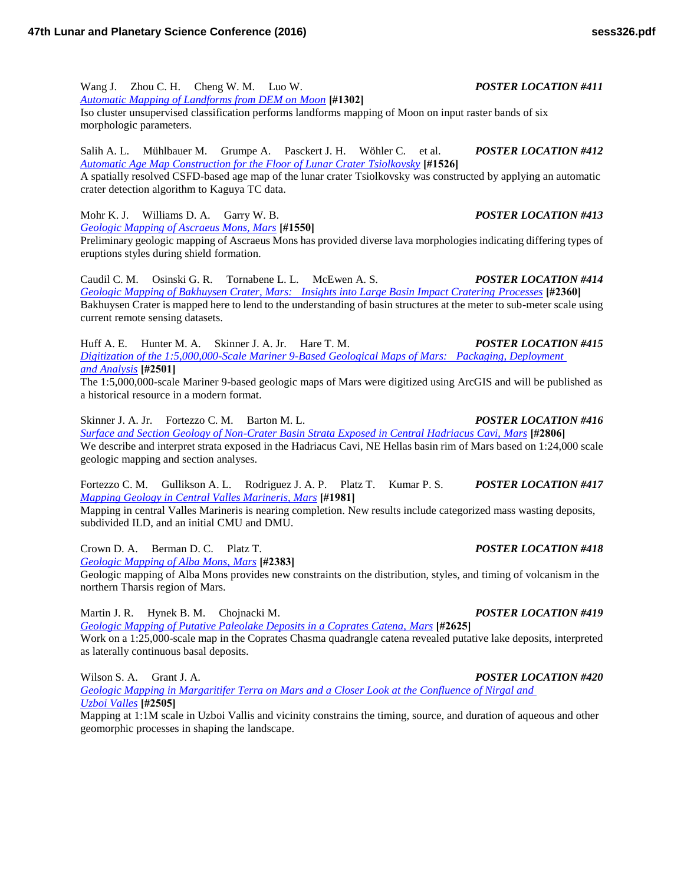Wang J. Zhou C. H. Cheng W. M. Luo W. *POSTER LOCATION #411 [Automatic Mapping of Landforms from DEM on Moon](http://www.hou.usra.edu/meetings/lpsc2016/pdf/1302.pdf)* **[#1302]** Iso cluster unsupervised classification performs landforms mapping of Moon on input raster bands of six morphologic parameters.

Salih A. L. Mühlbauer M. Grumpe A. Pasckert J. H. Wöhler C. et al. *POSTER LOCATION #412 [Automatic Age Map Construction for the Floor of Lunar Crater Tsiolkovsky](http://www.hou.usra.edu/meetings/lpsc2016/pdf/1526.pdf)* **[#1526]** A spatially resolved CSFD-based age map of the lunar crater Tsiolkovsky was constructed by applying an automatic crater detection algorithm to Kaguya TC data.

Mohr K. J. Williams D. A. Garry W. B. *POSTER LOCATION #413 [Geologic Mapping of Ascraeus Mons, Mars](http://www.hou.usra.edu/meetings/lpsc2016/pdf/1550.pdf)* **[#1550]**

Preliminary geologic mapping of Ascraeus Mons has provided diverse lava morphologies indicating differing types of eruptions styles during shield formation.

Caudil C. M. Osinski G. R. Tornabene L. L. McEwen A. S. *POSTER LOCATION #414 [Geologic Mapping of Bakhuysen Crater, Mars: Insights into Large Basin Impact Cratering Processes](http://www.hou.usra.edu/meetings/lpsc2016/pdf/2360.pdf)* **[#2360]** Bakhuysen Crater is mapped here to lend to the understanding of basin structures at the meter to sub-meter scale using current remote sensing datasets.

Huff A. E. Hunter M. A. Skinner J. A. Jr. Hare T. M. *POSTER LOCATION #415 [Digitization of the 1:5,000,000-Scale Mariner 9-Based Geological Maps of Mars: Packaging, Deployment](http://www.hou.usra.edu/meetings/lpsc2016/pdf/2501.pdf)  [and Analysis](http://www.hou.usra.edu/meetings/lpsc2016/pdf/2501.pdf)* **[#2501]**

The 1:5,000,000-scale Mariner 9-based geologic maps of Mars were digitized using ArcGIS and will be published as a historical resource in a modern format.

Skinner J. A. Jr. Fortezzo C. M. Barton M. L. *POSTER LOCATION #416 [Surface and Section Geology of Non-Crater Basin Strata Exposed in Central Hadriacus Cavi, Mars](http://www.hou.usra.edu/meetings/lpsc2016/pdf/2806.pdf)* **[#2806]** We describe and interpret strata exposed in the Hadriacus Cavi, NE Hellas basin rim of Mars based on 1:24,000 scale geologic mapping and section analyses.

Fortezzo C. M. Gullikson A. L. Rodriguez J. A. P. Platz T. Kumar P. S. *POSTER LOCATION #417 [Mapping Geology in Central Valles Marineris, Mars](http://www.hou.usra.edu/meetings/lpsc2016/pdf/1981.pdf)* **[#1981]**

Mapping in central Valles Marineris is nearing completion. New results include categorized mass wasting deposits, subdivided ILD, and an initial CMU and DMU.

Crown D. A. Berman D. C. Platz T. *POSTER LOCATION #418*

*[Geologic Mapping of Alba Mons, Mars](http://www.hou.usra.edu/meetings/lpsc2016/pdf/2383.pdf)* **[#2383]**

Geologic mapping of Alba Mons provides new constraints on the distribution, styles, and timing of volcanism in the northern Tharsis region of Mars.

Martin J. R. Hynek B. M. Chojnacki M. *POSTER LOCATION #419*

*[Geologic Mapping of Putative Paleolake Deposits in a Coprates Catena, Mars](http://www.hou.usra.edu/meetings/lpsc2016/pdf/2625.pdf)* **[#2625]** Work on a 1:25,000-scale map in the Coprates Chasma quadrangle catena revealed putative lake deposits, interpreted as laterally continuous basal deposits.

Wilson S. A. Grant J. A. *POSTER LOCATION #420*

*[Geologic Mapping in Margaritifer Terra on Mars and a Closer Look at the Confluence of Nirgal and](http://www.hou.usra.edu/meetings/lpsc2016/pdf/2505.pdf)  [Uzboi Valles](http://www.hou.usra.edu/meetings/lpsc2016/pdf/2505.pdf)* **[#2505]**

Mapping at 1:1M scale in Uzboi Vallis and vicinity constrains the timing, source, and duration of aqueous and other geomorphic processes in shaping the landscape.